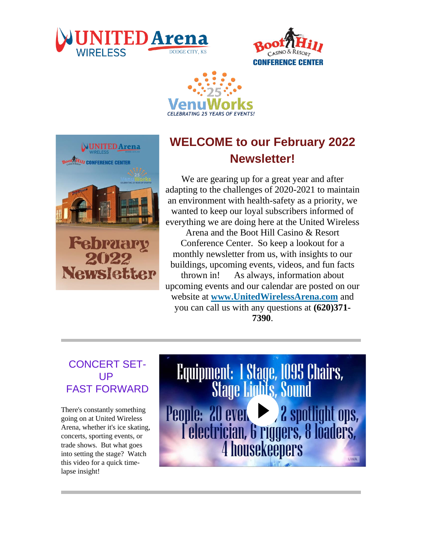







## **WELCOME to our February 2022 Newsletter!**

We are gearing up for a great year and after adapting to the challenges of 2020-2021 to maintain an environment with health-safety as a priority, we wanted to keep our loyal subscribers informed of everything we are doing here at the United Wireless

Arena and the Boot Hill Casino & Resort Conference Center. So keep a lookout for a monthly newsletter from us, with insights to our buildings, upcoming events, videos, and fun facts thrown in! As always, information about upcoming events and our calendar are posted on our website at **[www.UnitedWirelessArena.com](http://links.engage.ticketmaster.com/els/v2/G8vDfY7a~et8/MmgvM3B3d0pCSWlwTVhLc1NTREVwUFJaV1laY0FHM0poN3NkMmkvOFFVZk1jWi9ZdmxYRHFvcFZKZTZNc295ZUl1cXd5M1dBUEFiVUZmaWdMTEdDRkhUV0IwN3pWVW04K1NpcndkU21KbTg9S0/)** and you can call us with any questions at **(620)371- 7390**.

### CONCERT SET-UP FAST FORWARD

There's constantly something going on at United Wireless Arena, whether it's ice skating, concerts, sporting events, or trade shows. But what goes into setting the stage? Watch this video for a quick timelapse insight!

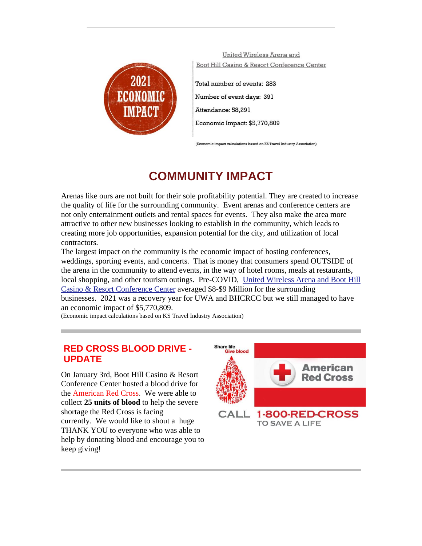

United Wireless Arena and Boot Hill Casino & Resort Conference Center Total number of events: 283 Number of event days: 391 Attendance: 58,291 Economic Impact: \$5,770,809

(Economic impact calculations based on KS Travel Industry Association)

## **COMMUNITY IMPACT**

Arenas like ours are not built for their sole profitability potential. They are created to increase the quality of life for the surrounding community. Event arenas and conference centers are not only entertainment outlets and rental spaces for events. They also make the area more attractive to other new businesses looking to establish in the community, which leads to creating more job opportunities, expansion potential for the city, and utilization of local contractors.

The largest impact on the community is the economic impact of hosting conferences, weddings, sporting events, and concerts. That is money that consumers spend OUTSIDE of the arena in the community to attend events, in the way of hotel rooms, meals at restaurants, local shopping, and other tourism outings. Pre-COVID, [United Wireless Arena and Boot Hill](http://links.engage.ticketmaster.com/els/v2/EZExT6V4qwc0/MmgvM3B3d0pCSWlwTVhLc1NTREVwUFJaV1laY0FHM0poN3NkMmkvOFFVZk1jWi9ZdmxYRHFvcFZKZTZNc295ZUl1cXd5M1dBUEFiVUZmaWdMTEdDRkhUV0IwN3pWVW04K1NpcndkU21KbTg9S0/)  [Casino & Resort Conference Center](http://links.engage.ticketmaster.com/els/v2/EZExT6V4qwc0/MmgvM3B3d0pCSWlwTVhLc1NTREVwUFJaV1laY0FHM0poN3NkMmkvOFFVZk1jWi9ZdmxYRHFvcFZKZTZNc295ZUl1cXd5M1dBUEFiVUZmaWdMTEdDRkhUV0IwN3pWVW04K1NpcndkU21KbTg9S0/) averaged \$8-\$9 Million for the surrounding businesses. 2021 was a recovery year for UWA and BHCRCC but we still managed to have an economic impact of \$5,770,809.

(Economic impact calculations based on KS Travel Industry Association)

### **RED CROSS BLOOD DRIVE - UPDATE**

On January 3rd, Boot Hill Casino & Resort Conference Center hosted a blood drive for the [American Red Cross.](http://links.engage.ticketmaster.com/els/v2/mkzms87b9aSD/MmgvM3B3d0pCSWlwTVhLc1NTREVwUFJaV1laY0FHM0poN3NkMmkvOFFVZk1jWi9ZdmxYRHFvcFZKZTZNc295ZUl1cXd5M1dBUEFiVUZmaWdMTEdDRkhUV0IwN3pWVW04K1NpcndkU21KbTg9S0/) We were able to collect **25 units of blood** to help the severe shortage the Red Cross is facing currently. We would like to shout a huge THANK YOU to everyone who was able to help by donating blood and encourage you to keep giving!

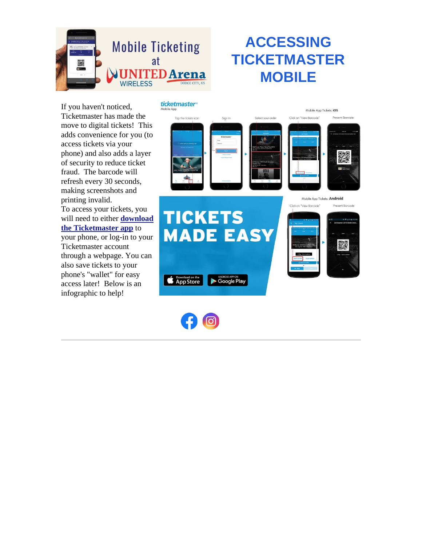

**ticketmaster**®

# **ACCESSING TICKETMASTER MOBILE**

If you haven't noticed, Ticketmaster has made the move to digital tickets! This adds convenience for you (to access tickets via your phone) and also adds a layer of security to reduce ticket fraud. The barcode will refresh every 30 seconds, making screenshots and printing invalid.

To access your tickets, you will need to either **[download](http://links.engage.ticketmaster.com/els/v2/YYL_SjwEXvFV/MmgvM3B3d0pCSWlwTVhLc1NTREVwUFJaV1laY0FHM0poN3NkMmkvOFFVZk1jWi9ZdmxYRHFvcFZKZTZNc295ZUl1cXd5M1dBUEFiVUZmaWdMTEdDRkhUV0IwN3pWVW04K1NpcndkU21KbTg9S0/)  [the Ticketmaster app](http://links.engage.ticketmaster.com/els/v2/YYL_SjwEXvFV/MmgvM3B3d0pCSWlwTVhLc1NTREVwUFJaV1laY0FHM0poN3NkMmkvOFFVZk1jWi9ZdmxYRHFvcFZKZTZNc295ZUl1cXd5M1dBUEFiVUZmaWdMTEdDRkhUV0IwN3pWVW04K1NpcndkU21KbTg9S0/)** to your phone, or log-in to your

Ticketmaster account through a webpage. You can also save tickets to your phone's "wallet" for easy access later! Below is an infographic to help!





**Completed on the App Store** 

**MADE EASY** 

 $\triangleright$  Google Play

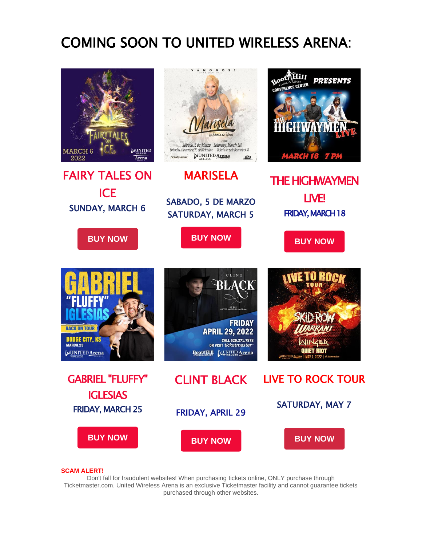# COMING SOON TO UNITED WIRELESS ARENA:



#### **SCAM ALERT!**

Don't fall for fraudulent websites! When purchasing tickets online, ONLY purchase through Ticketmaster.com. United Wireless Arena is an exclusive Ticketmaster facility and cannot guarantee tickets purchased through other websites.